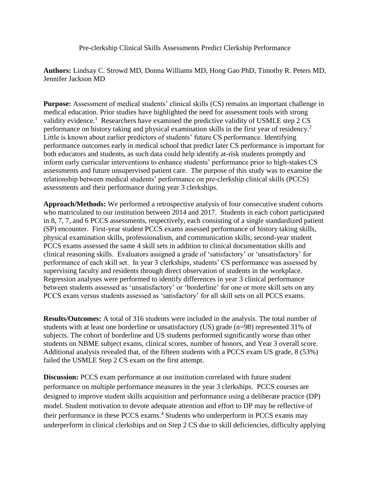Pre-clerkship Clinical Skills Assessments Predict Clerkship Performance

**Authors:** Lindsay C. Strowd MD, Donna Williams MD, Hong Gao PhD, Timothy R. Peters MD, Jennifer Jackson MD

**Purpose:** Assessment of medical students' clinical skills (CS) remains an important challenge in medical education. Prior studies have highlighted the need for assessment tools with strong validity evidence.<sup>1</sup> Researchers have examined the predictive validity of USMLE step 2 CS performance on history taking and physical examination skills in the first year of residency.<sup>2</sup> Little is known about earlier predictors of students' future CS performance. Identifying performance outcomes early in medical school that predict later CS performance is important for both educators and students, as such data could help identify at-risk students promptly and inform early curricular interventions to enhance students' performance prior to high-stakes CS assessments and future unsupervised patient care. The purpose of this study was to examine the relationship between medical students' performance on pre-clerkship clinical skills (PCCS) assessments and their performance during year 3 clerkships.

**Approach/Methods:** We performed a retrospective analysis of four consecutive student cohorts who matriculated to our institution between 2014 and 2017. Students in each cohort participated in 8, 7, 7, and 6 PCCS assessments, respectively, each consisting of a single standardized patient (SP) encounter. First-year student PCCS exams assessed performance of history taking skills, physical examination skills, professionalism, and communication skills; second-year student PCCS exams assessed the same 4 skill sets in addition to clinical documentation skills and clinical reasoning skills. Evaluators assigned a grade of 'satisfactory' or 'unsatisfactory' for performance of each skill set. In year 3 clerkships, students' CS performance was assessed by supervising faculty and residents through direct observation of students in the workplace. Regression analyses were performed to identify differences in year 3 clinical performance between students assessed as 'unsatisfactory' or 'borderline' for one or more skill sets on any PCCS exam versus students assessed as 'satisfactory' for all skill sets on all PCCS exams.

**Results/Outcomes:** A total of 316 students were included in the analysis. The total number of students with at least one borderline or unsatisfactory (US) grade (n=98) represented 31% of subjects. The cohort of borderline and US students performed significantly worse than other students on NBME subject exams, clinical scores, number of honors, and Year 3 overall score. Additional analysis revealed that, of the fifteen students with a PCCS exam US grade, 8 (53%) failed the USMLE Step 2 CS exam on the first attempt.

**Discussion:** PCCS exam performance at our institution correlated with future student performance on multiple performance measures in the year 3 clerkships. PCCS courses are designed to improve student skills acquisition and performance using a deliberate practice (DP) model. Student motivation to devote adequate attention and effort to DP may be reflective of their performance in these PCCS exams.<sup>4</sup> Students who underperform in PCCS exams may underperform in clinical clerkships and on Step 2 CS due to skill deficiencies, difficulty applying